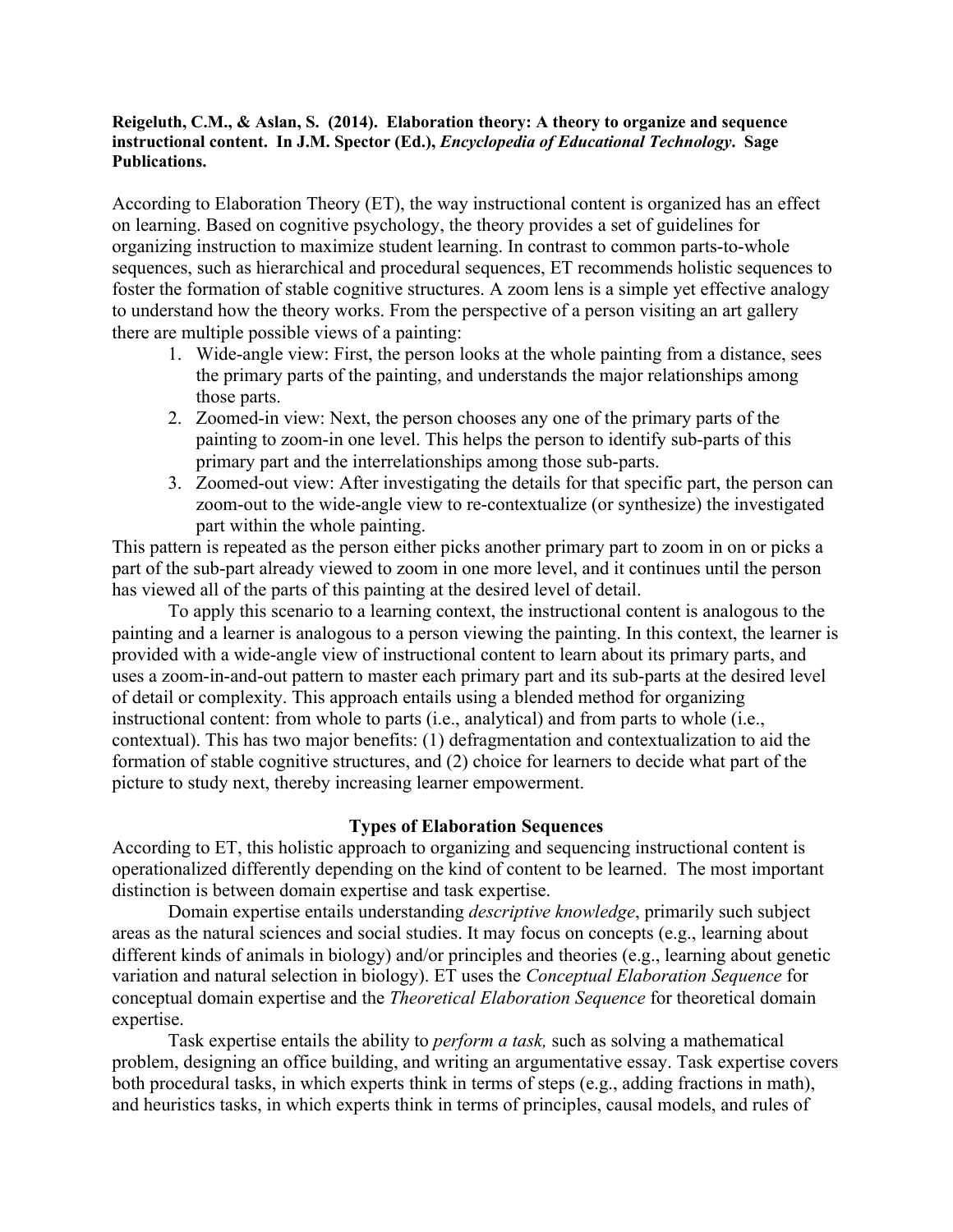## **Reigeluth, C.M., & Aslan, S. (2014). Elaboration theory: A theory to organize and sequence instructional content. In J.M. Spector (Ed.),** *Encyclopedia of Educational Technology***. Sage Publications.**

According to Elaboration Theory (ET), the way instructional content is organized has an effect on learning. Based on cognitive psychology, the theory provides a set of guidelines for organizing instruction to maximize student learning. In contrast to common parts-to-whole sequences, such as hierarchical and procedural sequences, ET recommends holistic sequences to foster the formation of stable cognitive structures. A zoom lens is a simple yet effective analogy to understand how the theory works. From the perspective of a person visiting an art gallery there are multiple possible views of a painting:

- 1. Wide-angle view: First, the person looks at the whole painting from a distance, sees the primary parts of the painting, and understands the major relationships among those parts.
- 2. Zoomed-in view: Next, the person chooses any one of the primary parts of the painting to zoom-in one level. This helps the person to identify sub-parts of this primary part and the interrelationships among those sub-parts.
- 3. Zoomed-out view: After investigating the details for that specific part, the person can zoom-out to the wide-angle view to re-contextualize (or synthesize) the investigated part within the whole painting.

This pattern is repeated as the person either picks another primary part to zoom in on or picks a part of the sub-part already viewed to zoom in one more level, and it continues until the person has viewed all of the parts of this painting at the desired level of detail.

To apply this scenario to a learning context, the instructional content is analogous to the painting and a learner is analogous to a person viewing the painting. In this context, the learner is provided with a wide-angle view of instructional content to learn about its primary parts, and uses a zoom-in-and-out pattern to master each primary part and its sub-parts at the desired level of detail or complexity. This approach entails using a blended method for organizing instructional content: from whole to parts (i.e., analytical) and from parts to whole (i.e., contextual). This has two major benefits: (1) defragmentation and contextualization to aid the formation of stable cognitive structures, and (2) choice for learners to decide what part of the picture to study next, thereby increasing learner empowerment.

## **Types of Elaboration Sequences**

According to ET, this holistic approach to organizing and sequencing instructional content is operationalized differently depending on the kind of content to be learned. The most important distinction is between domain expertise and task expertise.

Domain expertise entails understanding *descriptive knowledge*, primarily such subject areas as the natural sciences and social studies. It may focus on concepts (e.g., learning about different kinds of animals in biology) and/or principles and theories (e.g., learning about genetic variation and natural selection in biology). ET uses the *Conceptual Elaboration Sequence* for conceptual domain expertise and the *Theoretical Elaboration Sequence* for theoretical domain expertise.

Task expertise entails the ability to *perform a task,* such as solving a mathematical problem, designing an office building, and writing an argumentative essay. Task expertise covers both procedural tasks, in which experts think in terms of steps (e.g., adding fractions in math), and heuristics tasks, in which experts think in terms of principles, causal models, and rules of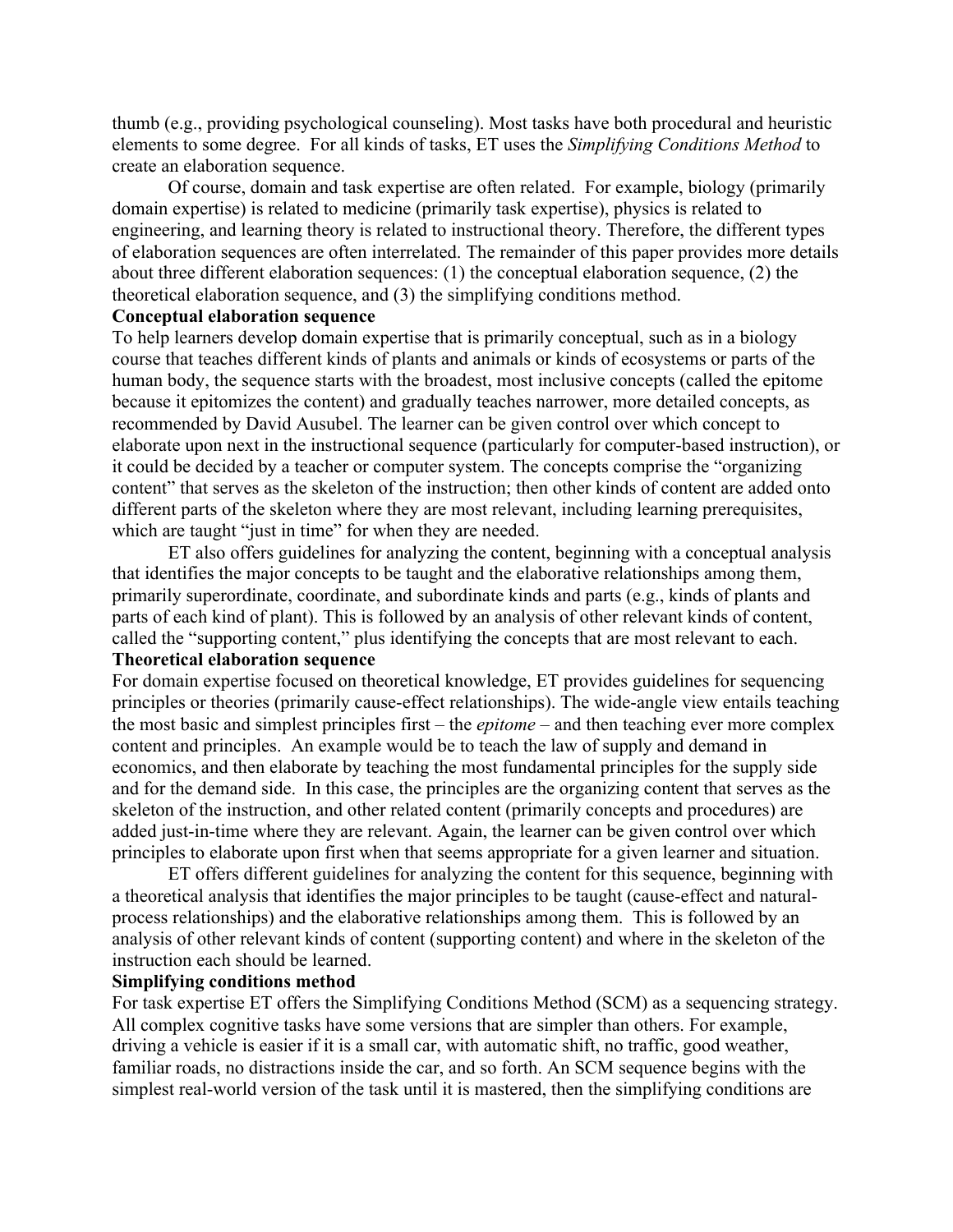thumb (e.g., providing psychological counseling). Most tasks have both procedural and heuristic elements to some degree. For all kinds of tasks, ET uses the *Simplifying Conditions Method* to create an elaboration sequence.

Of course, domain and task expertise are often related. For example, biology (primarily domain expertise) is related to medicine (primarily task expertise), physics is related to engineering, and learning theory is related to instructional theory. Therefore, the different types of elaboration sequences are often interrelated. The remainder of this paper provides more details about three different elaboration sequences: (1) the conceptual elaboration sequence, (2) the theoretical elaboration sequence, and (3) the simplifying conditions method.

# **Conceptual elaboration sequence**

To help learners develop domain expertise that is primarily conceptual, such as in a biology course that teaches different kinds of plants and animals or kinds of ecosystems or parts of the human body, the sequence starts with the broadest, most inclusive concepts (called the epitome because it epitomizes the content) and gradually teaches narrower, more detailed concepts, as recommended by David Ausubel. The learner can be given control over which concept to elaborate upon next in the instructional sequence (particularly for computer-based instruction), or it could be decided by a teacher or computer system. The concepts comprise the "organizing content" that serves as the skeleton of the instruction; then other kinds of content are added onto different parts of the skeleton where they are most relevant, including learning prerequisites, which are taught "just in time" for when they are needed.

ET also offers guidelines for analyzing the content, beginning with a conceptual analysis that identifies the major concepts to be taught and the elaborative relationships among them, primarily superordinate, coordinate, and subordinate kinds and parts (e.g., kinds of plants and parts of each kind of plant). This is followed by an analysis of other relevant kinds of content, called the "supporting content," plus identifying the concepts that are most relevant to each. **Theoretical elaboration sequence**

For domain expertise focused on theoretical knowledge, ET provides guidelines for sequencing principles or theories (primarily cause-effect relationships). The wide-angle view entails teaching the most basic and simplest principles first – the *epitome* – and then teaching ever more complex content and principles. An example would be to teach the law of supply and demand in economics, and then elaborate by teaching the most fundamental principles for the supply side and for the demand side. In this case, the principles are the organizing content that serves as the skeleton of the instruction, and other related content (primarily concepts and procedures) are added just-in-time where they are relevant. Again, the learner can be given control over which principles to elaborate upon first when that seems appropriate for a given learner and situation.

ET offers different guidelines for analyzing the content for this sequence, beginning with a theoretical analysis that identifies the major principles to be taught (cause-effect and naturalprocess relationships) and the elaborative relationships among them. This is followed by an analysis of other relevant kinds of content (supporting content) and where in the skeleton of the instruction each should be learned.

#### **Simplifying conditions method**

For task expertise ET offers the Simplifying Conditions Method (SCM) as a sequencing strategy. All complex cognitive tasks have some versions that are simpler than others. For example, driving a vehicle is easier if it is a small car, with automatic shift, no traffic, good weather, familiar roads, no distractions inside the car, and so forth. An SCM sequence begins with the simplest real-world version of the task until it is mastered, then the simplifying conditions are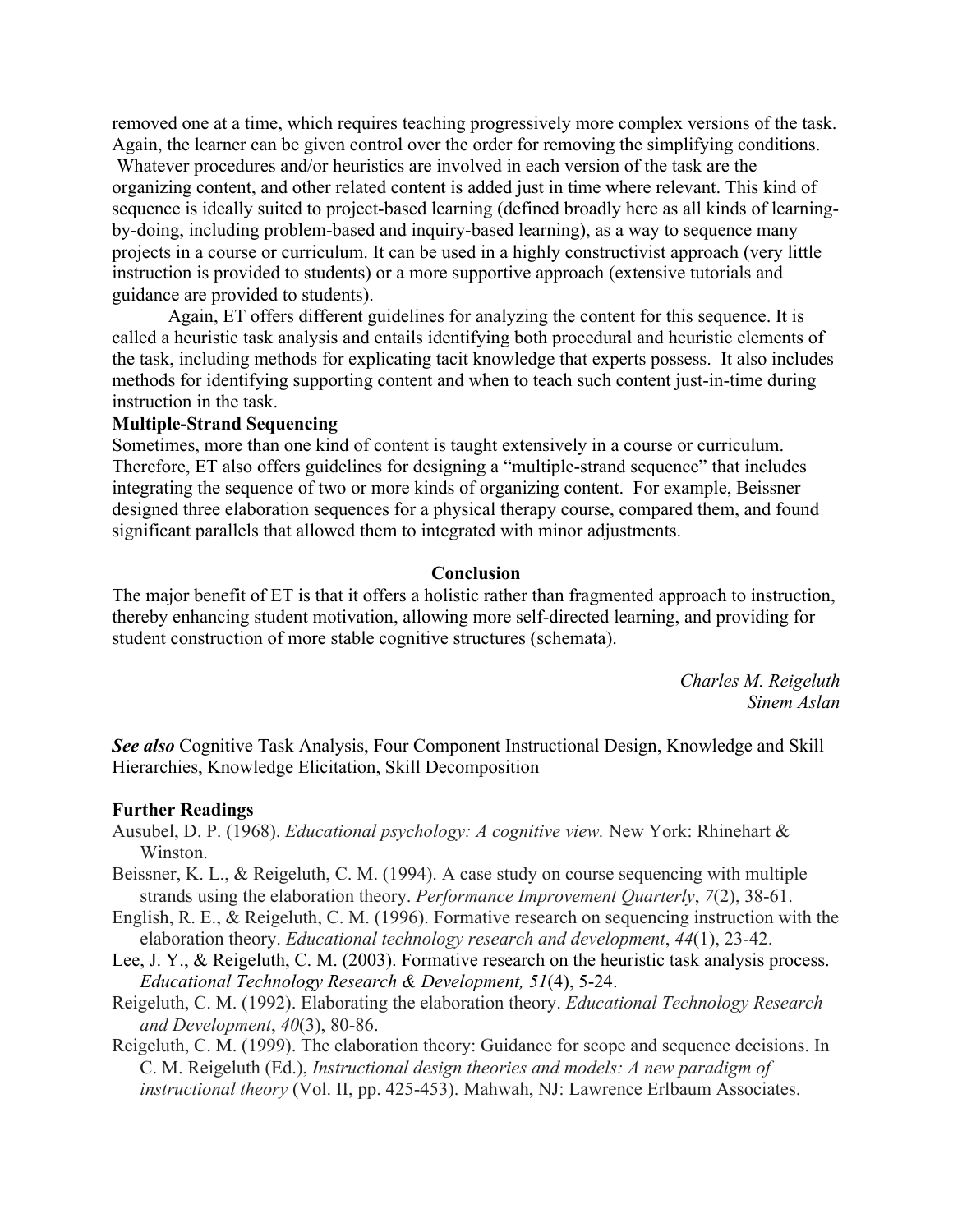removed one at a time, which requires teaching progressively more complex versions of the task. Again, the learner can be given control over the order for removing the simplifying conditions.

Whatever procedures and/or heuristics are involved in each version of the task are the organizing content, and other related content is added just in time where relevant. This kind of sequence is ideally suited to project-based learning (defined broadly here as all kinds of learningby-doing, including problem-based and inquiry-based learning), as a way to sequence many projects in a course or curriculum. It can be used in a highly constructivist approach (very little instruction is provided to students) or a more supportive approach (extensive tutorials and guidance are provided to students).

Again, ET offers different guidelines for analyzing the content for this sequence. It is called a heuristic task analysis and entails identifying both procedural and heuristic elements of the task, including methods for explicating tacit knowledge that experts possess. It also includes methods for identifying supporting content and when to teach such content just-in-time during instruction in the task.

#### **Multiple-Strand Sequencing**

Sometimes, more than one kind of content is taught extensively in a course or curriculum. Therefore, ET also offers guidelines for designing a "multiple-strand sequence" that includes integrating the sequence of two or more kinds of organizing content. For example, Beissner designed three elaboration sequences for a physical therapy course, compared them, and found significant parallels that allowed them to integrated with minor adjustments.

## **Conclusion**

The major benefit of ET is that it offers a holistic rather than fragmented approach to instruction, thereby enhancing student motivation, allowing more self-directed learning, and providing for student construction of more stable cognitive structures (schemata).

> *Charles M. Reigeluth Sinem Aslan*

*See also* Cognitive Task Analysis, Four Component Instructional Design, Knowledge and Skill Hierarchies, Knowledge Elicitation, Skill Decomposition

#### **Further Readings**

- Ausubel, D. P. (1968). *Educational psychology: A cognitive view.* New York: Rhinehart & Winston.
- Beissner, K. L., & Reigeluth, C. M. (1994). A case study on course sequencing with multiple strands using the elaboration theory. *Performance Improvement Quarterly*, *7*(2), 38-61.
- English, R. E., & Reigeluth, C. M. (1996). Formative research on sequencing instruction with the elaboration theory. *Educational technology research and development*, *44*(1), 23-42.
- Lee, J. Y., & Reigeluth, C. M. (2003). Formative research on the heuristic task analysis process. *Educational Technology Research & Development, 51*(4), 5-24.
- Reigeluth, C. M. (1992). Elaborating the elaboration theory. *Educational Technology Research and Development*, *40*(3), 80-86.
- Reigeluth, C. M. (1999). The elaboration theory: Guidance for scope and sequence decisions. In C. M. Reigeluth (Ed.), *Instructional design theories and models: A new paradigm of instructional theory* (Vol. II, pp. 425-453). Mahwah, NJ: Lawrence Erlbaum Associates.